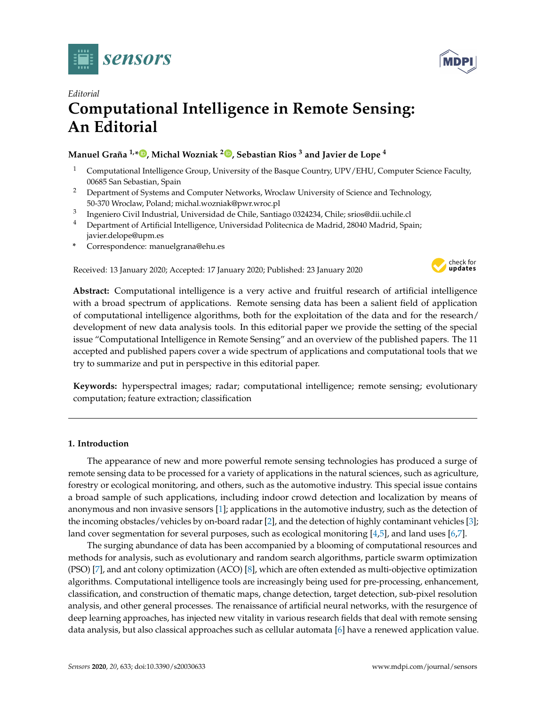



# *Editorial* **Computational Intelligence in Remote Sensing: An Editorial**

## **Manuel Graña 1,\* [,](https://orcid.org/0000-0001-7373-4097) Michal Wozniak [2](https://orcid.org/0000-0003-0146-4205) , Sebastian Rios <sup>3</sup> and Javier de Lope <sup>4</sup>**

- <sup>1</sup> Computational Intelligence Group, University of the Basque Country, UPV/EHU, Computer Science Faculty, 00685 San Sebastian, Spain
- <sup>2</sup> Department of Systems and Computer Networks, Wroclaw University of Science and Technology, 50-370 Wroclaw, Poland; michal.wozniak@pwr.wroc.pl
- 3 Ingeniero Civil Industrial, Universidad de Chile, Santiago 0324234, Chile; srios@dii.uchile.cl
- <sup>4</sup> Department of Artificial Intelligence, Universidad Politecnica de Madrid, 28040 Madrid, Spain; javier.delope@upm.es
- **\*** Correspondence: manuelgrana@ehu.es

Received: 13 January 2020; Accepted: 17 January 2020; Published: 23 January 2020



**Abstract:** Computational intelligence is a very active and fruitful research of artificial intelligence with a broad spectrum of applications. Remote sensing data has been a salient field of application of computational intelligence algorithms, both for the exploitation of the data and for the research/ development of new data analysis tools. In this editorial paper we provide the setting of the special issue "Computational Intelligence in Remote Sensing" and an overview of the published papers. The 11 accepted and published papers cover a wide spectrum of applications and computational tools that we try to summarize and put in perspective in this editorial paper.

**Keywords:** hyperspectral images; radar; computational intelligence; remote sensing; evolutionary computation; feature extraction; classification

### **1. Introduction**

The appearance of new and more powerful remote sensing technologies has produced a surge of remote sensing data to be processed for a variety of applications in the natural sciences, such as agriculture, forestry or ecological monitoring, and others, such as the automotive industry. This special issue contains a broad sample of such applications, including indoor crowd detection and localization by means of anonymous and non invasive sensors [\[1\]](#page-4-0); applications in the automotive industry, such as the detection of the incoming obstacles/vehicles by on-board radar [\[2\]](#page-4-1), and the detection of highly contaminant vehicles [\[3\]](#page-4-2); land cover segmentation for several purposes, such as ecological monitoring [\[4](#page-4-3)[,5\]](#page-4-4), and land uses [\[6](#page-4-5)[,7\]](#page-4-6).

The surging abundance of data has been accompanied by a blooming of computational resources and methods for analysis, such as evolutionary and random search algorithms, particle swarm optimization (PSO) [\[7\]](#page-4-6), and ant colony optimization (ACO) [\[8\]](#page-5-0), which are often extended as multi-objective optimization algorithms. Computational intelligence tools are increasingly being used for pre-processing, enhancement, classification, and construction of thematic maps, change detection, target detection, sub-pixel resolution analysis, and other general processes. The renaissance of artificial neural networks, with the resurgence of deep learning approaches, has injected new vitality in various research fields that deal with remote sensing data analysis, but also classical approaches such as cellular automata [\[6\]](#page-4-5) have a renewed application value.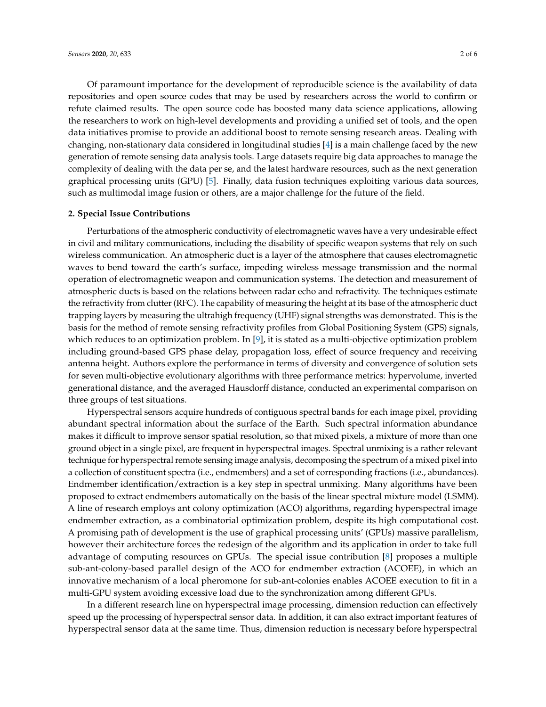Of paramount importance for the development of reproducible science is the availability of data repositories and open source codes that may be used by researchers across the world to confirm or refute claimed results. The open source code has boosted many data science applications, allowing the researchers to work on high-level developments and providing a unified set of tools, and the open data initiatives promise to provide an additional boost to remote sensing research areas. Dealing with changing, non-stationary data considered in longitudinal studies [\[4\]](#page-4-3) is a main challenge faced by the new generation of remote sensing data analysis tools. Large datasets require big data approaches to manage the complexity of dealing with the data per se, and the latest hardware resources, such as the next generation graphical processing units (GPU) [\[5\]](#page-4-4). Finally, data fusion techniques exploiting various data sources, such as multimodal image fusion or others, are a major challenge for the future of the field.

#### **2. Special Issue Contributions**

Perturbations of the atmospheric conductivity of electromagnetic waves have a very undesirable effect in civil and military communications, including the disability of specific weapon systems that rely on such wireless communication. An atmospheric duct is a layer of the atmosphere that causes electromagnetic waves to bend toward the earth's surface, impeding wireless message transmission and the normal operation of electromagnetic weapon and communication systems. The detection and measurement of atmospheric ducts is based on the relations between radar echo and refractivity. The techniques estimate the refractivity from clutter (RFC). The capability of measuring the height at its base of the atmospheric duct trapping layers by measuring the ultrahigh frequency (UHF) signal strengths was demonstrated. This is the basis for the method of remote sensing refractivity profiles from Global Positioning System (GPS) signals, which reduces to an optimization problem. In [\[9\]](#page-5-1), it is stated as a multi-objective optimization problem including ground-based GPS phase delay, propagation loss, effect of source frequency and receiving antenna height. Authors explore the performance in terms of diversity and convergence of solution sets for seven multi-objective evolutionary algorithms with three performance metrics: hypervolume, inverted generational distance, and the averaged Hausdorff distance, conducted an experimental comparison on three groups of test situations.

Hyperspectral sensors acquire hundreds of contiguous spectral bands for each image pixel, providing abundant spectral information about the surface of the Earth. Such spectral information abundance makes it difficult to improve sensor spatial resolution, so that mixed pixels, a mixture of more than one ground object in a single pixel, are frequent in hyperspectral images. Spectral unmixing is a rather relevant technique for hyperspectral remote sensing image analysis, decomposing the spectrum of a mixed pixel into a collection of constituent spectra (i.e., endmembers) and a set of corresponding fractions (i.e., abundances). Endmember identification/extraction is a key step in spectral unmixing. Many algorithms have been proposed to extract endmembers automatically on the basis of the linear spectral mixture model (LSMM). A line of research employs ant colony optimization (ACO) algorithms, regarding hyperspectral image endmember extraction, as a combinatorial optimization problem, despite its high computational cost. A promising path of development is the use of graphical processing units' (GPUs) massive parallelism, however their architecture forces the redesign of the algorithm and its application in order to take full advantage of computing resources on GPUs. The special issue contribution [\[8\]](#page-5-0) proposes a multiple sub-ant-colony-based parallel design of the ACO for endmember extraction (ACOEE), in which an innovative mechanism of a local pheromone for sub-ant-colonies enables ACOEE execution to fit in a multi-GPU system avoiding excessive load due to the synchronization among different GPUs.

In a different research line on hyperspectral image processing, dimension reduction can effectively speed up the processing of hyperspectral sensor data. In addition, it can also extract important features of hyperspectral sensor data at the same time. Thus, dimension reduction is necessary before hyperspectral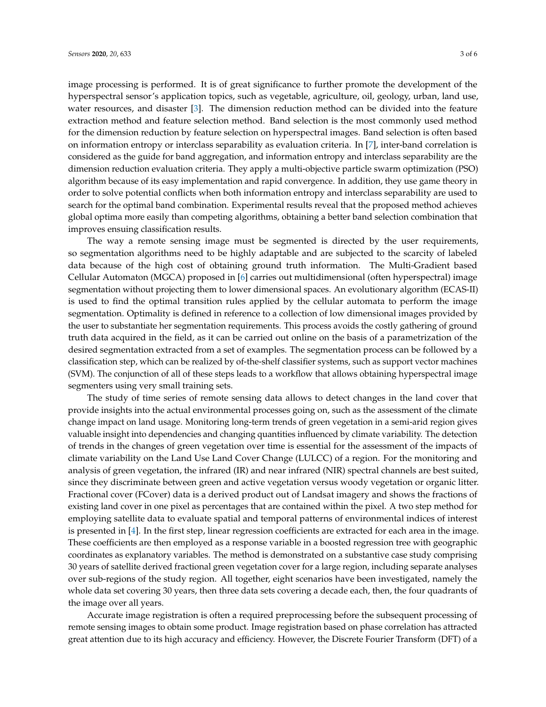image processing is performed. It is of great significance to further promote the development of the hyperspectral sensor's application topics, such as vegetable, agriculture, oil, geology, urban, land use, water resources, and disaster [\[3\]](#page-4-2). The dimension reduction method can be divided into the feature extraction method and feature selection method. Band selection is the most commonly used method for the dimension reduction by feature selection on hyperspectral images. Band selection is often based on information entropy or interclass separability as evaluation criteria. In [\[7\]](#page-4-6), inter-band correlation is considered as the guide for band aggregation, and information entropy and interclass separability are the dimension reduction evaluation criteria. They apply a multi-objective particle swarm optimization (PSO) algorithm because of its easy implementation and rapid convergence. In addition, they use game theory in order to solve potential conflicts when both information entropy and interclass separability are used to search for the optimal band combination. Experimental results reveal that the proposed method achieves global optima more easily than competing algorithms, obtaining a better band selection combination that improves ensuing classification results.

The way a remote sensing image must be segmented is directed by the user requirements, so segmentation algorithms need to be highly adaptable and are subjected to the scarcity of labeled data because of the high cost of obtaining ground truth information. The Multi-Gradient based Cellular Automaton (MGCA) proposed in [\[6\]](#page-4-5) carries out multidimensional (often hyperspectral) image segmentation without projecting them to lower dimensional spaces. An evolutionary algorithm (ECAS-II) is used to find the optimal transition rules applied by the cellular automata to perform the image segmentation. Optimality is defined in reference to a collection of low dimensional images provided by the user to substantiate her segmentation requirements. This process avoids the costly gathering of ground truth data acquired in the field, as it can be carried out online on the basis of a parametrization of the desired segmentation extracted from a set of examples. The segmentation process can be followed by a classification step, which can be realized by of-the-shelf classifier systems, such as support vector machines (SVM). The conjunction of all of these steps leads to a workflow that allows obtaining hyperspectral image segmenters using very small training sets.

The study of time series of remote sensing data allows to detect changes in the land cover that provide insights into the actual environmental processes going on, such as the assessment of the climate change impact on land usage. Monitoring long-term trends of green vegetation in a semi-arid region gives valuable insight into dependencies and changing quantities influenced by climate variability. The detection of trends in the changes of green vegetation over time is essential for the assessment of the impacts of climate variability on the Land Use Land Cover Change (LULCC) of a region. For the monitoring and analysis of green vegetation, the infrared (IR) and near infrared (NIR) spectral channels are best suited, since they discriminate between green and active vegetation versus woody vegetation or organic litter. Fractional cover (FCover) data is a derived product out of Landsat imagery and shows the fractions of existing land cover in one pixel as percentages that are contained within the pixel. A two step method for employing satellite data to evaluate spatial and temporal patterns of environmental indices of interest is presented in [\[4\]](#page-4-3). In the first step, linear regression coefficients are extracted for each area in the image. These coefficients are then employed as a response variable in a boosted regression tree with geographic coordinates as explanatory variables. The method is demonstrated on a substantive case study comprising 30 years of satellite derived fractional green vegetation cover for a large region, including separate analyses over sub-regions of the study region. All together, eight scenarios have been investigated, namely the whole data set covering 30 years, then three data sets covering a decade each, then, the four quadrants of the image over all years.

Accurate image registration is often a required preprocessing before the subsequent processing of remote sensing images to obtain some product. Image registration based on phase correlation has attracted great attention due to its high accuracy and efficiency. However, the Discrete Fourier Transform (DFT) of a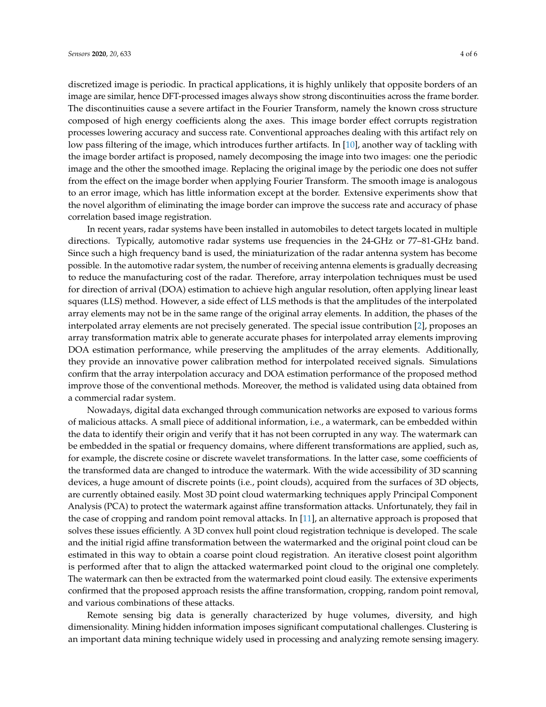discretized image is periodic. In practical applications, it is highly unlikely that opposite borders of an image are similar, hence DFT-processed images always show strong discontinuities across the frame border. The discontinuities cause a severe artifact in the Fourier Transform, namely the known cross structure composed of high energy coefficients along the axes. This image border effect corrupts registration processes lowering accuracy and success rate. Conventional approaches dealing with this artifact rely on low pass filtering of the image, which introduces further artifacts. In [\[10\]](#page-5-2), another way of tackling with the image border artifact is proposed, namely decomposing the image into two images: one the periodic image and the other the smoothed image. Replacing the original image by the periodic one does not suffer from the effect on the image border when applying Fourier Transform. The smooth image is analogous to an error image, which has little information except at the border. Extensive experiments show that the novel algorithm of eliminating the image border can improve the success rate and accuracy of phase correlation based image registration.

In recent years, radar systems have been installed in automobiles to detect targets located in multiple directions. Typically, automotive radar systems use frequencies in the 24-GHz or 77–81-GHz band. Since such a high frequency band is used, the miniaturization of the radar antenna system has become possible. In the automotive radar system, the number of receiving antenna elements is gradually decreasing to reduce the manufacturing cost of the radar. Therefore, array interpolation techniques must be used for direction of arrival (DOA) estimation to achieve high angular resolution, often applying linear least squares (LLS) method. However, a side effect of LLS methods is that the amplitudes of the interpolated array elements may not be in the same range of the original array elements. In addition, the phases of the interpolated array elements are not precisely generated. The special issue contribution [\[2\]](#page-4-1), proposes an array transformation matrix able to generate accurate phases for interpolated array elements improving DOA estimation performance, while preserving the amplitudes of the array elements. Additionally, they provide an innovative power calibration method for interpolated received signals. Simulations confirm that the array interpolation accuracy and DOA estimation performance of the proposed method improve those of the conventional methods. Moreover, the method is validated using data obtained from a commercial radar system.

Nowadays, digital data exchanged through communication networks are exposed to various forms of malicious attacks. A small piece of additional information, i.e., a watermark, can be embedded within the data to identify their origin and verify that it has not been corrupted in any way. The watermark can be embedded in the spatial or frequency domains, where different transformations are applied, such as, for example, the discrete cosine or discrete wavelet transformations. In the latter case, some coefficients of the transformed data are changed to introduce the watermark. With the wide accessibility of 3D scanning devices, a huge amount of discrete points (i.e., point clouds), acquired from the surfaces of 3D objects, are currently obtained easily. Most 3D point cloud watermarking techniques apply Principal Component Analysis (PCA) to protect the watermark against affine transformation attacks. Unfortunately, they fail in the case of cropping and random point removal attacks. In [\[11\]](#page-5-3), an alternative approach is proposed that solves these issues efficiently. A 3D convex hull point cloud registration technique is developed. The scale and the initial rigid affine transformation between the watermarked and the original point cloud can be estimated in this way to obtain a coarse point cloud registration. An iterative closest point algorithm is performed after that to align the attacked watermarked point cloud to the original one completely. The watermark can then be extracted from the watermarked point cloud easily. The extensive experiments confirmed that the proposed approach resists the affine transformation, cropping, random point removal, and various combinations of these attacks.

Remote sensing big data is generally characterized by huge volumes, diversity, and high dimensionality. Mining hidden information imposes significant computational challenges. Clustering is an important data mining technique widely used in processing and analyzing remote sensing imagery.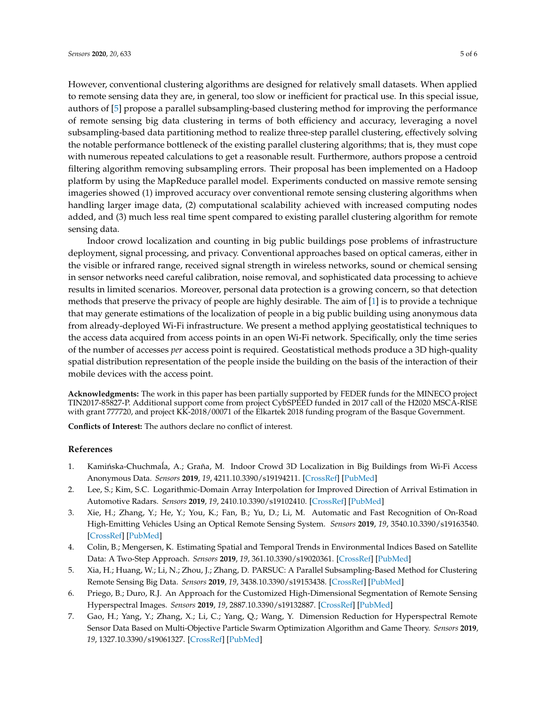However, conventional clustering algorithms are designed for relatively small datasets. When applied to remote sensing data they are, in general, too slow or inefficient for practical use. In this special issue, authors of [\[5\]](#page-4-4) propose a parallel subsampling-based clustering method for improving the performance of remote sensing big data clustering in terms of both efficiency and accuracy, leveraging a novel subsampling-based data partitioning method to realize three-step parallel clustering, effectively solving the notable performance bottleneck of the existing parallel clustering algorithms; that is, they must cope with numerous repeated calculations to get a reasonable result. Furthermore, authors propose a centroid filtering algorithm removing subsampling errors. Their proposal has been implemented on a Hadoop platform by using the MapReduce parallel model. Experiments conducted on massive remote sensing imageries showed (1) improved accuracy over conventional remote sensing clustering algorithms when handling larger image data, (2) computational scalability achieved with increased computing nodes added, and (3) much less real time spent compared to existing parallel clustering algorithm for remote sensing data.

Indoor crowd localization and counting in big public buildings pose problems of infrastructure deployment, signal processing, and privacy. Conventional approaches based on optical cameras, either in the visible or infrared range, received signal strength in wireless networks, sound or chemical sensing in sensor networks need careful calibration, noise removal, and sophisticated data processing to achieve results in limited scenarios. Moreover, personal data protection is a growing concern, so that detection methods that preserve the privacy of people are highly desirable. The aim of [\[1\]](#page-4-0) is to provide a technique that may generate estimations of the localization of people in a big public building using anonymous data from already-deployed Wi-Fi infrastructure. We present a method applying geostatistical techniques to the access data acquired from access points in an open Wi-Fi network. Specifically, only the time series of the number of accesses *per* access point is required. Geostatistical methods produce a 3D high-quality spatial distribution representation of the people inside the building on the basis of the interaction of their mobile devices with the access point.

**Acknowledgments:** The work in this paper has been partially supported by FEDER funds for the MINECO project TIN2017-85827-P. Additional support come from project CybSPEED funded in 2017 call of the H2020 MSCA-RISE with grant 777720, and project KK-2018/00071 of the Elkartek 2018 funding program of the Basque Government.

**Conflicts of Interest:** The authors declare no conflict of interest.

#### **References**

- <span id="page-4-0"></span>1. Kamińska-Chuchmaĺa, A.; Graña, M. Indoor Crowd 3D Localization in Big Buildings from Wi-Fi Access Anonymous Data. *Sensors* **2019**, *19*, 4211[.10.3390/s19194211.](https://doi.org/10.3390/s19194211) [\[CrossRef\]](http://dx.doi.org/10.3390/s19194211) [\[PubMed\]](http://www.ncbi.nlm.nih.gov/pubmed/31569809)
- <span id="page-4-1"></span>2. Lee, S.; Kim, S.C. Logarithmic-Domain Array Interpolation for Improved Direction of Arrival Estimation in Automotive Radars. *Sensors* **2019**, *19*, 2410[.10.3390/s19102410.](https://doi.org/10.3390/s19102410) [\[CrossRef\]](http://dx.doi.org/10.3390/s19102410) [\[PubMed\]](http://www.ncbi.nlm.nih.gov/pubmed/31137796)
- <span id="page-4-2"></span>3. Xie, H.; Zhang, Y.; He, Y.; You, K.; Fan, B.; Yu, D.; Li, M. Automatic and Fast Recognition of On-Road High-Emitting Vehicles Using an Optical Remote Sensing System. *Sensors* **2019**, *19*, 3540[.10.3390/s19163540.](https://doi.org/10.3390/s19163540) [\[CrossRef\]](http://dx.doi.org/10.3390/s19163540) [\[PubMed\]](http://www.ncbi.nlm.nih.gov/pubmed/31412672)
- <span id="page-4-3"></span>4. Colin, B.; Mengersen, K. Estimating Spatial and Temporal Trends in Environmental Indices Based on Satellite Data: A Two-Step Approach. *Sensors* **2019**, *19*, 361[.10.3390/s19020361.](https://doi.org/10.3390/s19020361) [\[CrossRef\]](http://dx.doi.org/10.3390/s19020361) [\[PubMed\]](http://www.ncbi.nlm.nih.gov/pubmed/30658405)
- <span id="page-4-4"></span>5. Xia, H.; Huang, W.; Li, N.; Zhou, J.; Zhang, D. PARSUC: A Parallel Subsampling-Based Method for Clustering Remote Sensing Big Data. *Sensors* **2019**, *19*, 3438[.10.3390/s19153438.](https://doi.org/10.3390/s19153438) [\[CrossRef\]](http://dx.doi.org/10.3390/s19153438) [\[PubMed\]](http://www.ncbi.nlm.nih.gov/pubmed/31387335)
- <span id="page-4-5"></span>6. Priego, B.; Duro, R.J. An Approach for the Customized High-Dimensional Segmentation of Remote Sensing Hyperspectral Images. *Sensors* **2019**, *19*, 2887[.10.3390/s19132887.](https://doi.org/10.3390/s19132887) [\[CrossRef\]](http://dx.doi.org/10.3390/s19132887) [\[PubMed\]](http://www.ncbi.nlm.nih.gov/pubmed/31261901)
- <span id="page-4-6"></span>7. Gao, H.; Yang, Y.; Zhang, X.; Li, C.; Yang, Q.; Wang, Y. Dimension Reduction for Hyperspectral Remote Sensor Data Based on Multi-Objective Particle Swarm Optimization Algorithm and Game Theory. *Sensors* **2019**, *19*, 1327[.10.3390/s19061327.](https://doi.org/10.3390/s19061327) [\[CrossRef\]](http://dx.doi.org/10.3390/s19061327) [\[PubMed\]](http://www.ncbi.nlm.nih.gov/pubmed/30884835)